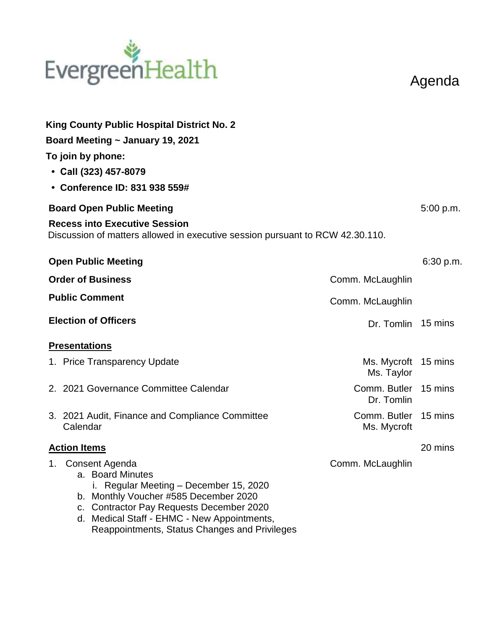# EvergreenHealth

Agenda

| King County Public Hospital District No. 2<br>Board Meeting ~ January 19, 2021<br>To join by phone:<br>$\cdot$ Call (323) 457-8079<br>• Conference ID: 831 938 559#                                                                                                               |                                     |           |  |
|-----------------------------------------------------------------------------------------------------------------------------------------------------------------------------------------------------------------------------------------------------------------------------------|-------------------------------------|-----------|--|
| <b>Board Open Public Meeting</b><br><b>Recess into Executive Session</b><br>Discussion of matters allowed in executive session pursuant to RCW 42.30.110.                                                                                                                         |                                     | 5:00 p.m. |  |
| <b>Open Public Meeting</b>                                                                                                                                                                                                                                                        |                                     | 6:30 p.m. |  |
| <b>Order of Business</b>                                                                                                                                                                                                                                                          | Comm. McLaughlin                    |           |  |
| <b>Public Comment</b>                                                                                                                                                                                                                                                             | Comm. McLaughlin                    |           |  |
| <b>Election of Officers</b>                                                                                                                                                                                                                                                       | Dr. Tomlin 15 mins                  |           |  |
| <b>Presentations</b>                                                                                                                                                                                                                                                              |                                     |           |  |
| 1. Price Transparency Update                                                                                                                                                                                                                                                      | Ms. Mycroft 15 mins<br>Ms. Taylor   |           |  |
| 2. 2021 Governance Committee Calendar                                                                                                                                                                                                                                             | Comm. Butler 15 mins<br>Dr. Tomlin  |           |  |
| 3. 2021 Audit, Finance and Compliance Committee<br>Calendar                                                                                                                                                                                                                       | Comm. Butler 15 mins<br>Ms. Mycroft |           |  |
| <b>Action Items</b>                                                                                                                                                                                                                                                               |                                     |           |  |
| 1. Consent Agenda<br>a. Board Minutes<br>Regular Meeting - December 15, 2020<br>Ĺ.<br>b. Monthly Voucher #585 December 2020<br><b>Contractor Pay Requests December 2020</b><br>C.<br>d. Medical Staff - EHMC - New Appointments,<br>Reappointments, Status Changes and Privileges | Comm. McLaughlin                    |           |  |